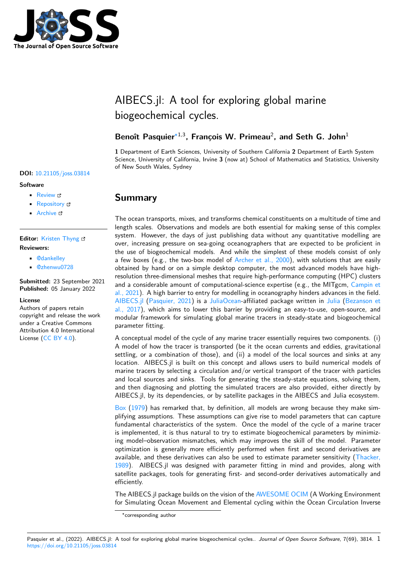

# AIBECS.jl: A tool for exploring global marine biogeochemical cycles.

### Benoît Pasquier<sup>\*1,3</sup>, François W. Primeau<sup>2</sup>, and Seth G. John<sup>1</sup>

**1** Department of Earth Sciences, University of Southern California **2** Department of Earth System Science, University of California, Irvine **3** (now at) School of Mathematics and Statistics, University of New South Wales, Sydney

## **Summary**

The ocean transports, mixes, and transforms chemical constituents on a multitude of time and length scales. Observations and models are both essential for making sense of this complex system. However, the days of just publishing data without any quantitative modelling are over, increasing pressure on sea-going oceanographers that are expected to be proficient in the use of biogeochemical models. And while the simplest of these models consist of only a few boxes (e.g., the two-box model of  $Archer$  et al., 2000), with solutions that are easily obtained by hand or on a simple desktop computer, the most advanced models have highresolution three-dimensional meshes that require high-performance computing (HPC) clusters and a considerable amount of computational-science expertise (e.g., the MITgcm, Campin et al., 2021). A high barrier to entry for mod[elling in oceanograp](#page-3-0)hy hinders advances in the field. AIBECS.jl (Pasquier, 2021) is a JuliaOcean-affiliated package written in Julia (Bezanson et al., 2017), which aims to lower this barrier by providing an easy-to-use, open-source, and modular framework for simulating global marine tracers in steady-state and biog[eochemical](#page-3-1) [paramete](#page-3-1)r fitting.

[A conceptu](https://github.com/JuliaOcean/AIBECS.jl)[al model of the](#page-6-0) cycle [of any marin](https://github.com/JuliaOcean/)e tracer essentially requires t[wo co](https://julialang.org/)[mponents. \(i\)](#page-3-2) [A model](#page-3-2) of how the tracer is transported (be it the ocean currents and eddies, gravitational settling, or a combination of those), and (ii) a model of the local sources and sinks at any location. AIBECS.jl is built on this concept and allows users to build numerical models of marine tracers by selecting a circulation and/or vertical transport of the tracer with particles and local sources and sinks. Tools for generating the steady-state equations, solving them, and then diagnosing and plotting the simulated tracers are also provided, either directly by AIBECS.jl, by its dependencies, or by satellite packages in the AIBECS and Julia ecosystem.

Box (1979) has remarked that, by definition, all models are wrong because they make simplifying assumptions. These assumptions can give rise to model parameters that can capture fundamental characteristics of the system. Once the model of the cycle of a marine tracer is implemented, it is thus natural to try to estimate biogeochemical parameters by minimiz[ing](#page-3-3) [model–](#page-3-3)observation mismatches, which may improves the skill of the model. Parameter optimization is generally more efficiently performed when first and second derivatives are available, and these derivatives can also be used to estimate parameter sensitivity (Thacker, 1989). AIBECS.jl was designed with parameter fitting in mind and provides, along with satellite packages, tools for generating first- and second-order derivatives automatically and efficiently.

The AIBECS.jl package builds on the vision of the AWESOME OCIM (A Working Env[ironment](#page-7-0) [for Si](#page-7-0)mulating Ocean Movement and Elemental cycling within the Ocean Circulation Inverse

<sup>∗</sup>corresponding author

#### Pasquier et al., (2022). AIBECS.jl: A tool for exploring global marine biogeochemical cycles.. Journal of Open Source Software, 7(69), 3814. 1 https://doi.org/10.21105/joss.03814

#### **DOI:** 10.21105/joss.03814

#### **Software**

- Review &
- [Repository](https://doi.org/10.21105/joss.03814) &
- Archive

#### **Editor:** [Kristen T](https://github.com/JuliaOcean/AIBECS.jl)hyng **Revie[wers:](https://doi.org/10.5281/zenodo.5787531)**

- @dankelley
	- @[zhenwu0728](http://kristenthyng.com/)

**Submitted:** 23 September 2021 **Published:** [05 Ja](https://github.com/dankelley)nuary 2022

#### **Licen[se](https://github.com/zhenwu0728)**

Authors of papers retain copyright and release the work under a Creative Commons Attribution 4.0 International License (CC BY 4.0).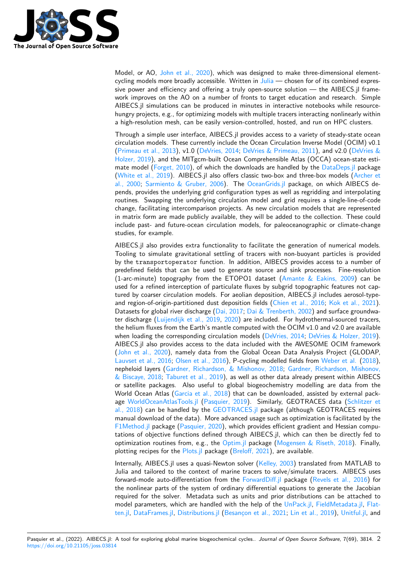

Model, or AO, John et al., 2020), which was designed to make three-dimensional elementcycling models more broadly accessible. Written in  $Julia$  — chosen for of its combined expressive power and efficiency and offering a truly open-source solution — the AIBECS.jl framework improves on the AO on a number of fronts to target education and research. Simple AIBECS.jl simu[lations can be pro](#page-5-0)duced in minutes in interactive notebooks while resourcehungry projects, e.g., for optimizing models with m[ultiple](https://julialang.org/) tracers interacting nonlinearly within a high-resolution mesh, can be easily version-controlled, hosted, and run on HPC clusters.

Through a simple user interface, AIBECS.jl provides access to a variety of steady-state ocean circulation models. These currently include the Ocean Circulation Inverse Model (OCIM) v0.1 (Primeau et al., 2013), v1.0 (DeVries, 2014; DeVries & Primeau, 2011), and v2.0 (DeVries & Holzer, 2019), and the MITgcm-built Ocean Comprehensible Atlas (OCCA) ocean-state estimate model (Forget, 2010), of which the downloads are handled by the DataDeps.jl package (White et al., 2019). AIBECS.jl also offers classic two-box and three-box models (Archer et al., 2000; [Sarmiento](#page-6-1) & Grub[er, 2006\). Th](#page-4-0)e [OceanGrids.jl](#page-4-1) package, on which A[IBECS de](#page-4-2)[pends, provid](#page-4-2)es the underlying grid configuration types as well as regridding and interpolating routines. Sw[apping the un](#page-4-3)derlying circulation model and grid requires [a single-line](https://github.com/oxinabox/DataDeps.jl)-of-code [change, facilitating](#page-7-1) intercomparison projects. As new circulation models that are re[presented](#page-3-0) [in matrix](#page-3-0) f[orm are made publicly avail](#page-6-2)able, th[ey will be add](https://github.com/briochemc/OceanGrids.jl)ed to the collection. These could include past- and future-ocean circulation models, for paleoceanographic or climate-change studies, for example.

AIBECS.jl also provides extra functionality to facilitate the generation of numerical models. Tooling to simulate gravitational settling of tracers with non-buoyant particles is provided by the transportoperator function. In addition, AIBECS provides access to a number of predefined fields that can be used to generate source and sink processes. Fine-resolution (1-arc-minute) topography from the ETOPO1 dataset (Amante & Eakins, 2009) can be used for a refined interception of particulate fluxes by subgrid topographic features not captured by coarser circulation models. For aeolian deposition, AIBECS.jl includes aerosol-typeand region-of-origin-partitioned dust deposition fields (Chien et al., 2016; Kok et al., 2021). Datasets for global river discharge (Dai, 2017; Dai & Tren[berth, 2002\) and surface gr](#page-3-4)oundwater discharge (Luijendijk et al., 2019, 2020) are included. For hydrothermal-sourced tracers, the helium fluxes from the Earth's mantle computed with the OCIM v1.0 and v2.0 are available when loading the corresponding circulation models (D[eVries, 2014;](#page-3-5) DeVrie[s & Holzer, 2019](#page-5-1)). AIBECS.jl also provides access to [the data i](#page-4-4)n[cluded with the AWES](#page-4-5)OME OCIM framework (John et al., [2020\), namely data fro](#page-5-2)[m the](#page-5-3) Global Ocean Data Analysis Project (GLODAP, Lauvset et al., 2016; Olsen et al., 2016), P-cycling modelled fields from Weber et al. (2018), nepheloid layers (Gardner, Richardson, & Mishonov[, 2018;](#page-4-0) Gardne[r, Richardson, Mishonov](#page-4-2),  $\&$  Biscaye, 2018; Taburet et al., 2019), as well as other data already present within AIBECS [or satellite packag](#page-5-0)es. Also useful to global biogeochemistry modelling are data from the [World Ocean Atlas](#page-5-4) ([Garcia et al., 2018](#page-6-3)) that can be downloaded, assis[ted by extern](#page-7-2)a[l pack](#page-7-2)age WorldOceanAtlasTools.jl [\(Pasquier, 2019\). Similarly,](#page-4-6) [GEOTRACES data \(Schlitzer et](#page-5-5) [al., 2018\) can b](#page-5-5)e [handled by the](#page-6-4) GEOTRACES.jl package (although GEOTRACES requires manual download of the data). More advanced usage such as optimization is facilitated by the F1Method.jl packag[e \(Pasquier, 2020\),](#page-4-7) which provides efficient gradient and Hessian computati[ons of objective functions](https://github.com/briochemc/WorldOceanAtlasTools.jl) [defined through](#page-6-5) AIBECS.jl, which can then be dir[ectly fed to](#page-6-6) [optimizat](#page-6-6)ion routines from, e.g., the [Optim.jl](https://github.com/briochemc/GEOTRACES.jl) package (Mogensen & Riseth, 2018). Finally, plotting recipes for the Plots.jl package (Breloff, 2021), are available.

[Internally, AI](https://github.com/briochemc/F1Method.jl)BECS.jl [uses a quasi-New](#page-6-7)ton solver (Kelley, 2003) translated from MATLAB to Julia and tailored to the context of marine tracers to solve/simulate tracers. AIBECS uses forward-mode auto-differentiation fro[m the](https://github.com/JuliaNLSolvers/Optim.jl) ForwardDiff.jl [package \(Revels et al.,](#page-6-8) 2016) for the nonlinear parts of t[he syste](https://github.com/JuliaPlots/Plots.jl)m of ordi[nary different](#page-3-6)ial equations to generate the Jacobian required for the solver. Metadata such as units [and prior dis](#page-5-6)tributions can be attached to model parameters, which are handled with the help of the UnPack.jl, FieldMetadata.jl, Flatten.jl, DataFrames.jl, Distributions.jl (Besan[çon et al., 202](https://github.com/JuliaDiff/ForwardDiff.jl)1; Lin et al., 2019), [Unitful.jl,](#page-6-9) and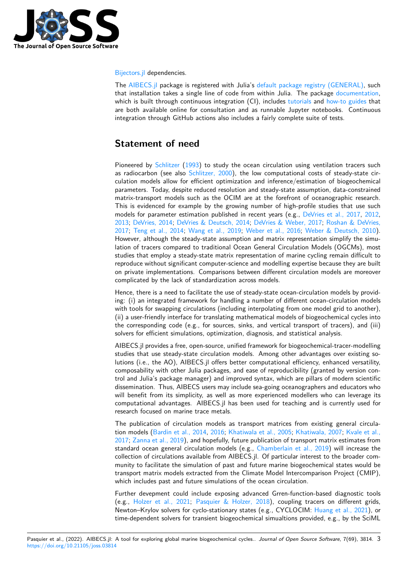

Bijectors.jl dependencies.

The AIBECS.jl package is registered with Julia's default package registry (GENERAL), such that installation takes a single line of code from within Julia. The package documentation, which is built through continuous integration (CI), includes tutorials and how-to guides that [are both a](https://github.com/TuringLang/Bijectors.jl)vailable online for consultation and as runnable Jupyter notebooks. Continuous inte[gration thro](https://github.com/JuliaOcean/AIBECS.jl)ugh GitHub actions also includes [a fairly complete suite of tests.](https://github.com/JuliaRegistries/General)

## **Statement of need**

Pioneered by Schlitzer (1993) to study the ocean circulation using ventilation tracers such as radiocarbon (see also Schlitzer, 2000), the low computational costs of steady-state circulation models allow for efficient optimization and inference/estimation of biogeochemical parameters. Today, despite reduced resolution and steady-state assumption, data-constrained matrix-transp[ort mode](#page-6-10)ls [such](#page-6-10) as the OCIM are at the forefront of oceanographic research. This is evidenced for exa[mple by the gro](#page-6-11)wing number of high-profile studies that use such models for parameter estimation published in recent years (e.g., DeVries et al., 2017, 2012, 2013; DeVries, 2014; DeVries & Deutsch, 2014; DeVries & Weber, 2017; Roshan & DeVries, 2017; Teng et al., 2014; Wang et al., 2019; Weber et al., 2016; Weber & Deutsch, 2010). However, although the steady-state assumption and matrix representation simplify the simulation of tracers compared to traditional Ocean General Circulati[on Models \(OGCMs\)](#page-4-8), [most](#page-4-9) [studie](#page-4-10)[s that employ](#page-4-0) a [steady-state matrix repre](#page-4-11)s[entation of marine cyclin](#page-4-12)[g remain difficult to](#page-6-12) [repro](#page-6-12)d[uce without signifi](#page-6-13)c[ant computer-scien](#page-7-3)c[e and modelling exp](#page-7-4)e[rtise because they are bui](#page-7-5)lt on private implementations. Comparisons between different circulation models are moreover complicated by the lack of standardization across models.

Hence, there is a need to facilitate the use of steady-state ocean-circulation models by providing: (i) an integrated framework for handling a number of different ocean-circulation models with tools for swapping circulations (including interpolating from one model grid to another), (ii) a user-friendly interface for translating mathematical models of biogeochemical cycles into the corresponding code (e.g., for sources, sinks, and vertical transport of tracers), and (iii) solvers for efficient simulations, optimization, diagnosis, and statistical analysis.

AIBECS.jl provides a free, open-source, unified framework for biogeochemical-tracer-modelling studies that use steady-state circulation models. Among other advantages over existing solutions (i.e., the AO), AIBECS.jl offers better computational efficiency, enhanced versatility, composability with other Julia packages, and ease of reproducibility (granted by version control and Julia's package manager) and improved syntax, which are pillars of modern scientific dissemination. Thus, AIBECS users may include sea-going oceanographers and educators who will benefit from its simplicity, as well as more experienced modellers who can leverage its computational advantages. AIBECS.jl has been used for teaching and is currently used for research focused on marine trace metals.

The publication of circulation models as transport matrices from existing general circulation models (Bardin et al., 2014, 2016; Khatiwala et al., 2005; Khatiwala, 2007; Kvale et al., 2017; Zanna et al., 2019), and hopefully, future publication of transport matrix estimates from standard ocean general circulation models (e.g., Chamberlain et al., 2019) will increase the collection of circulations available from AIBECS.jl. Of particular interest to the broader community to fa[cilitate the simulatio](#page-3-8)[n of p](#page-3-9)[ast and future marine b](#page-5-8)[iogeochemical sta](#page-5-9)[tes would be](#page-5-10) [trans](#page-5-10)[port matrix models](#page-7-6) extracted from the Climate Model Intercomparison Project (CMIP), which includes past and future simulations of the [ocean circulation.](#page-3-10)

Further devepment could include exposing advanced Grren-function-based diagnostic tools (e.g., Holzer et al., 2021; Pasquier & Holzer, 2018), coupling tracers on different grids, Newton–Krylov solvers for cyclo-stationary states (e.g., CYCLOCIM: Huang et al., 2021), or time-dependent solvers for transient biogeochemical simualtions provided, e.g., by the SciML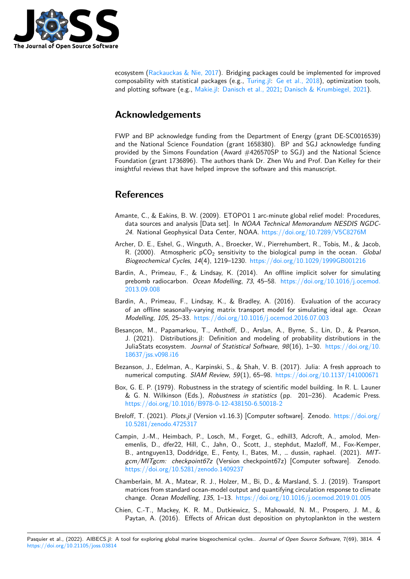

ecosystem (Rackauckas & Nie, 2017). Bridging packages could be implemented for improved composability with statistical packages (e.g., Turing.jl: Ge et al., 2018), optimization tools, and plotting software (e.g., Makie.jl: Danisch et al., 2021; Danisch & Krumbiegel, 2021).

## **Ackno[wledgement](#page-6-15)[s](https://github.com/JuliaPlots/Makie.jl)**

FWP and BP acknowledge funding from the Department of Energy (grant DE-SC0016539) and the National Science Foundation (grant 1658380). BP and SGJ acknowledge funding provided by the Simons Foundation (Award #426570SP to SGJ) and the National Science Foundation (grant 1736896). The authors thank Dr. Zhen Wu and Prof. Dan Kelley for their insightful reviews that have helped improve the software and this manuscript.

## **References**

- Amante, C., & Eakins, B. W. (2009). ETOPO1 1 arc-minute global relief model: Procedures, data sources and analysis [Data set]. In *NOAA Technical Memorandum NESDIS NGDC-24*. National Geophysical Data Center, NOAA. https://doi.org/10.7289/V5C8276M
- <span id="page-3-4"></span>Archer, D. E., Eshel, G., Winguth, A., Broecker, W., Pierrehumbert, R., Tobis, M., & Jacob, R. (2000). Atmospheric pCO<sub>2</sub> sensitivity to the biological pump in the ocean. *Global Biogeochemical Cycles*, *14*(4), 1219–1230. htt[ps://doi.org/10.1029/1999GB001216](https://doi.org/10.7289/V5C8276M)
- <span id="page-3-0"></span>Bardin, A., Primeau, F., & Lindsay, K. (2014). An offline implicit solver for simulating prebomb radiocarbon. *Ocean Modelling*, *73*, 45–58. https://doi.org/10.1016/j.ocemod. 2013.09.008
- <span id="page-3-8"></span>Bardin, A., Primeau, F., Lindsay, K., & Bra[dley, A. \(2016\). Evaluation of the accu](https://doi.org/10.1029/1999GB001216)racy of an offline seasonally-varying matrix transport mod[el for simulating ideal age.](https://doi.org/10.1016/j.ocemod.2013.09.008) *Ocean [Modelling](https://doi.org/10.1016/j.ocemod.2013.09.008)*, *105*, 25–33. https://doi.org/10.1016/j.ocemod.2016.07.003
- <span id="page-3-9"></span>Besançon, M., Papamarkou, T., Anthoff, D., Arslan, A., Byrne, S., Lin, D., & Pearson, J. (2021). Distributions.jl: Definition and modeling of probability distributions in the JuliaStats ecosystem. *J[ournal of Statistical Software](https://doi.org/10.1016/j.ocemod.2016.07.003)*, *98*(16), 1–30. https://doi.org/10. 18637/jss.v098.i16
- <span id="page-3-7"></span>Bezanson, J., Edelman, A., Karpinski, S., & Shah, V. B. (2017). Julia: A fresh approach to numerical computing. *SIAM Review*, *59*(1), 65–98. https://doi.org/[10.1137/141000671](https://doi.org/10.18637/jss.v098.i16)
- Bo[x, G. E. P. \(1979\).](https://doi.org/10.18637/jss.v098.i16) Robustness in the strategy of scientific model building. In R. L. Launer & G. N. Wilkinson (Eds.), *Robustness in statistics* (pp. 201–236). Academic Press. https://doi.org/10.1016/B978-0-12-438150-6.50018-2
- <span id="page-3-2"></span>Breloff, T. (2021). *Plots.jl* (Version v1.16.3) [Computer [software\]. Zenodo.](https://doi.org/10.1137/141000671) https://doi.org/ 10.5281/zenodo.4725317
- <span id="page-3-6"></span><span id="page-3-3"></span>Ca[mpin, J.-M., Heimbach, P., Losch, M., Forget, G., ed](https://doi.org/10.1016/B978-0-12-438150-6.50018-2)hill3, Adcroft, A., amolod, Menemenlis, D., dfer22, Hill, C., Jahn, O., Scott, J., stephdut, Mazloff, [M., Fox-Kemper,](https://doi.org/10.5281/zenodo.4725317) B., antnguyen13, Doddridge, E., Fenty, I., Bates, M., … dussin, raphael. (2021). *MIT[gcm/MITgcm: checkpoin](https://doi.org/10.5281/zenodo.4725317)t67z* (Version checkpoint67z) [Computer software]. Zenodo. https://doi.org/10.5281/zenodo.1409237
- <span id="page-3-1"></span>Chamberlain, M. A., Matear, R. J., Holzer, M., Bi, D., & Marsland, S. J. (2019). Transport matrices from standard ocean-model output and quantifying circulation response to climate change. *[Ocean Modelling](https://doi.org/10.5281/zenodo.1409237)*, *135*, 1–13. https://doi.org/10.1016/j.ocemod.2019.01.005
- <span id="page-3-10"></span><span id="page-3-5"></span>Chien, C.-T., Mackey, K. R. M., Dutkiewicz, S., Mahowald, N. M., Prospero, J. M., & Paytan, A. (2016). Effects of African dust deposition on phytoplankton in the western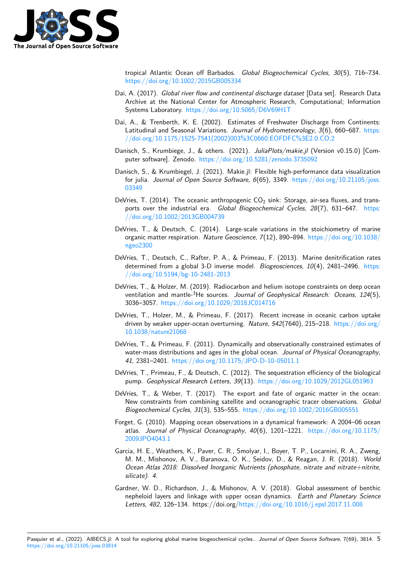

tropical Atlantic Ocean off Barbados. *Global Biogeochemical Cycles*, *30*(5), 716–734. https://doi.org/10.1002/2015GB005334

- Dai, A. (2017). *Global river flow and continental discharge dataset* [Data set]. Research Data Archive at the National Center for Atmospheric Research, Computational; Information [Systems Laboratory.](https://doi.org/10.1002/2015GB005334) https://doi.org/10.5065/D6V69H1T
- <span id="page-4-4"></span>Dai, A., & Trenberth, K. E. (2002). Estimates of Freshwater Discharge from Continents: Latitudinal and Seasonal Variations. *Journal of Hydrometeorology*, *3*(6), 660–687. https: //doi.org/10.1175/1[525-7541\(2002\)003%3C0660:EOFDF](https://doi.org/10.5065/D6V69H1T)C%3E2.0.CO;2
- Danisch, S., Krumbiege, J., & others. (2021). *JuliaPlots/makie.jl* (Version v0.15.0) [Computer software]. Zenodo. https://doi.org/10.5281/zenodo.3735092
- <span id="page-4-5"></span>Da[nisch, S., & Krumbiegel, J. \(2021\). Makie.jl: Flexible high-performance da](https://doi.org/10.1175/1525-7541(2002)003%3C0660:EOFDFC%3E2.0.CO;2)ta visuali[zation](https://doi.org/10.1175/1525-7541(2002)003%3C0660:EOFDFC%3E2.0.CO;2) for julia. *Journal of Open Source Software*, *6*(65), 3349. https://doi.org/10.21105/joss. 03349
- DeVries, T. (2014). The oceanic anthropogenic  $CO<sub>2</sub>$  sink: Storage, air-sea fluxes, and transports over the industrial era. *Global Biogeochemical Cycles*, *28*[\(7\), 631–647.](https://doi.org/10.21105/joss.03349) https: [//doi.](https://doi.org/10.21105/joss.03349)org/10.1002/2013GB004739
- <span id="page-4-0"></span>DeVries, T., & Deutsch, C. (2014). Large-scale variations in the stoichiometry of marine organic matter respiration. *Nature Geoscience*, *7*(12), 890–894. https://doi.org/10.[1038/](https://doi.org/10.1002/2013GB004739) ngeo2300
- <span id="page-4-11"></span>De[Vries, T., Deutsch, C., Rafter, P. A](https://doi.org/10.1002/2013GB004739)., & Primeau, F. (2013). Marine denitrification rates determined from a global 3-D inverse model. *Biogeosciences*, *10*[\(4\), 2481–2496.](https://doi.org/10.1038/ngeo2300) https: [//doi.org/](https://doi.org/10.1038/ngeo2300)10.5194/bg-10-2481-2013
- <span id="page-4-10"></span>DeVries, T., & Holzer, M. (2019). Radiocarbon and helium isotope constraints on deep ocean ventilation and mantle-<sup>3</sup>He sources. *Journal of Geophysical Research: Oceans*, *124*[\(5\),](https://doi.org/10.5194/bg-10-2481-2013) 3036–3057. [https://doi.org/10.1029](https://doi.org/10.5194/bg-10-2481-2013)/2018JC014716
- <span id="page-4-2"></span>DeVries, T., Holzer, M., & Primeau, F. (2017). Recent increase in oceanic carbon uptake driven by weaker upper-ocean overturning. *Nature*, *542*(7640), 215–218. https://doi.org/ 10.1038/nature21068
- <span id="page-4-8"></span>DeVries, T., & [Primeau, F. \(2011\). Dynamically and obs](https://doi.org/10.1029/2018JC014716)ervationally constrained estimates of water-mass distributions and ages in the global ocean. *Journal of Physic[al Oceanography](https://doi.org/10.1038/nature21068)*, *41*[, 2381–2401.](https://doi.org/10.1038/nature21068) https://doi.org/10.1175/JPO-D-10-05011.1
- DeVries, T., Primeau, F., & Deutsch, C. (2012). The sequestration efficiency of the biological pump. *Geophysical Research Letters*, *39*(13). https://doi.org/10.1029/2012GL051963
- <span id="page-4-1"></span>DeVries, T., & We[ber, T. \(2017\). The export and fate of or](https://doi.org/10.1175/JPO-D-10-05011.1)ganic matter in the ocean: New constraints from combining satellite and oceanographic tracer observations. *Global Biogeochemical Cycles*, *31*(3), 535–555. https[://doi.org/10.1002/2016GB005551](https://doi.org/10.1029/2012GL051963)
- <span id="page-4-12"></span><span id="page-4-9"></span>Forget, G. (2010). Mapping ocean observations in a dynamical framework: A 2004–06 ocean atlas. *Journal of Physical Oceanography*, *40*(6), 1201–1221. https://doi.org/10.1175/ 2009JPO4043.1
- <span id="page-4-3"></span>Garcia, H. E., Weathers, K., Paver, C. R., S[molyar, I., Boyer, T. P., Locarnini, R. A.,](https://doi.org/10.1002/2016GB005551) Zweng, M. M., Mishonov, A. V., Baranova, O. K., Seidov, D., & Reagan, J. R. (2018). *World [Ocean Atlas 201](https://doi.org/10.1175/2009JPO4043.1)8: Dissolved Inorganic Nutrients (phosphate, n[itrate and nitrate+nitrite,](https://doi.org/10.1175/2009JPO4043.1) silicate)*. *4*.
- <span id="page-4-7"></span><span id="page-4-6"></span>Gardner, W. D., Richardson, J., & Mishonov, A. V. (2018). Global assessment of benthic nepheloid layers and linkage with upper ocean dynamics. *Earth and Planetary Science Letters*, *482*, 126–134. https://doi.org/https://doi.org/10.1016/j.epsl.2017.11.008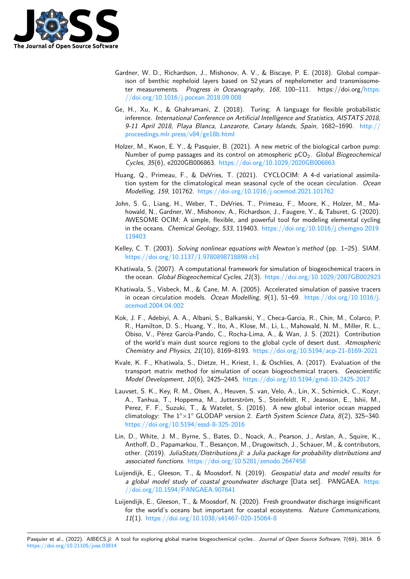

- Gardner, W. D., Richardson, J., Mishonov, A. V., & Biscaye, P. E. (2018). Global comparison of benthic nepheloid layers based on 52 years of nephelometer and transmissometer measurements. *Progress in Oceanography*, *168*, 100–111. https://doi.org/https: //doi.org/10.1016/j.pocean.2018.09.008
- <span id="page-5-5"></span>Ge, H., Xu, K., & Ghahramani, Z. (2018). Turing: A language for flexible probabilistic inference. *International Conference on Artificial Intelligence and Statistics, AISTATS 2018, 9-11 April 2018, Playa Blanca, Lanzarote, Canary Islands, Spain*, 1682–1690. h[ttp://](https://doi.org/10.1016/j.pocean.2018.09.008) [proceedings.mlr.press/v84/ge18b.html](https://doi.org/10.1016/j.pocean.2018.09.008)
- Holzer, M., Kwon, E. Y., & Pasquier, B. (2021). A new metric of the biological carbon pump: Number of pump passages and its control on atmospheric pCO2. *Global Biogeoc[hemical](http://proceedings.mlr.press/v84/ge18b.html) Cycles*, *35*[\(6\), e2020GB006863.](http://proceedings.mlr.press/v84/ge18b.html) https://doi.org/10.1029/2020GB006863
- <span id="page-5-11"></span>Huang, Q., Primeau, F., & DeVries, T. (2021). CYCLOCIM: A 4-d variational assimilation system for the climatological mean seasonal cycle of the ocean circulation. *Ocean Modelling*, *159*, 101762. https:/[/doi.org/10.1016/j.ocemod.2021.101762](https://doi.org/10.1029/2020GB006863)
- <span id="page-5-12"></span>John, S. G., Liang, H., Weber, T., DeVries, T., Primeau, F., Moore, K., Holzer, M., Mahowald, N., Gardner, W., Mishonov, A., Richardson, J., Faugere, Y., & Taburet, G. (2020). AWESOME OCIM: A si[mple, flexible, and powerful tool for modeling e](https://doi.org/10.1016/j.ocemod.2021.101762)lemental cycling in the oceans. *Chemical Geology*, *533*, 119403. https://doi.org/10.1016/j.chemgeo.2019. 119403
- <span id="page-5-0"></span>Kelley, C. T. (2003). *Solving nonlinear equations with Newton's method* (pp. 1–25). SIAM. https://doi.org/10.1137/1.9780898718898.ch1
- Kh[atiwala,](https://doi.org/10.1016/j.chemgeo.2019.119403) S. (2007). A computational framework [for simulation of biogeochemical tracers in](https://doi.org/10.1016/j.chemgeo.2019.119403) the ocean. *Global Biogeochemical Cycles*, *21*(3). https://doi.org/10.1029/2007GB002923
- <span id="page-5-6"></span>Kh[atiwala, S., Visbeck, M., & Cane, M. A. \(2005\)](https://doi.org/10.1137/1.9780898718898.ch1). Accelerated simulation of passive tracers in ocean circulation models. *Ocean Modelling*, *9*(1), 51–69. https://doi.org/10.1016/j. ocemod.2004.04.002
- <span id="page-5-9"></span><span id="page-5-8"></span>Kok, J. F., Adebiyi, A. A., Albani, S., Balkanski, Y.[, Checa-Garcia, R., Chin, M., Colarco, P.](https://doi.org/10.1029/2007GB002923) R., Hamilton, D. S., Huang, Y., Ito, A., Klose, M., Li, L., Mahowald, N. M., Miller, R. L., Obiso, V., Pérez García-Pando, C., Rocha-Lima, A., & Wan, [J. S. \(2021\). Contribution](https://doi.org/10.1016/j.ocemod.2004.04.002) [of the world's main](https://doi.org/10.1016/j.ocemod.2004.04.002) dust source regions to the global cycle of desert dust. *Atmospheric Chemistry and Physics*, *21*(10), 8169–8193. https://doi.org/10.5194/acp-21-8169-2021
- <span id="page-5-1"></span>Kvale, K. F., Khatiwala, S., Dietze, H., Kriest, I., & Oschlies, A. (2017). Evaluation of the transport matrix method for simulation of ocean biogeochemical tracers. *Geoscientific Model Development*, *10*(6), 2425–2445. htt[ps://doi.org/10.5194/gmd-10-2425-2017](https://doi.org/10.5194/acp-21-8169-2021)
- <span id="page-5-10"></span>Lauvset, S. K., Key, R. M., Olsen, A., Heuven, S. van, Velo, A., Lin, X., Schirnick, C., Kozyr, A., Tanhua, T., Hoppema, M., Jutterström, S., Steinfeldt, R., Jeansson, E., Ishii, M., Perez, F. F., Suzuki, T., & Watelet, S[. \(2016\). A new global interior ocean map](https://doi.org/10.5194/gmd-10-2425-2017)ped climatology: The 1°×1° GLODAP version 2. *Earth System Science Data*, *8*(2), 325–340. https://doi.org/10.5194/essd-8-325-2016
- <span id="page-5-4"></span>Lin, D., White, J. M., Byrne, S., Bates, D., Noack, A., Pearson, J., Arslan, A., Squire, K., Anthoff, D., Papamarkou, T., Besançon, M., Drugowitsch, J., Schauer, M., & contributors, other. (2019). *JuliaStats/Distributions.jl: a Julia package for probability distributions and associated functions*. [https://doi.org/10.5](https://doi.org/10.5194/essd-8-325-2016)281/zenodo.2647458
- <span id="page-5-7"></span>Luijendijk, E., Gleeson, T., & Moosdorf, N. (2019). *Geospatial data and model results for a global model study of coastal groundwater discharge* [Data set]. PANGAEA. https: //doi.org/10.1594/P[ANGAEA.907641](https://doi.org/10.5281/zenodo.2647458)
- <span id="page-5-3"></span><span id="page-5-2"></span>Luijendijk, E., Gleeson, T., & Moosdorf, N. (2020). Fresh groundwater discharge insignificant for the world's oceans but important for coastal ecosystems. *Nature Communic[ations](https://doi.org/10.1594/PANGAEA.907641)*, *11*(1). [https://doi.org/10.1038/s41467](https://doi.org/10.1594/PANGAEA.907641)-020-15064-8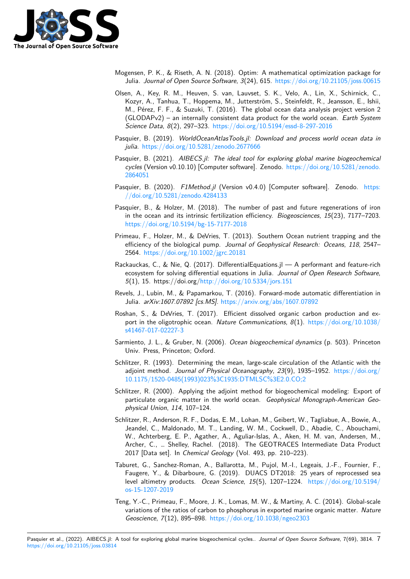

- Mogensen, P. K., & Riseth, A. N. (2018). Optim: A mathematical optimization package for Julia. *Journal of Open Source Software*, *3*(24), 615. https://doi.org/10.21105/joss.00615
- <span id="page-6-8"></span>Olsen, A., Key, R. M., Heuven, S. van, Lauvset, S. K., Velo, A., Lin, X., Schirnick, C., Kozyr, A., Tanhua, T., Hoppema, M., Jutterström, S., Steinfeldt, R., Jeansson, E., Ishii, M., Pérez, F. F., & Suzuki, T. (2016). The global [ocean data analysis project version 2](https://doi.org/10.21105/joss.00615) (GLODAPv2) – an internally consistent data product for the world ocean. *Earth System Science Data*, *8*(2), 297–323. https://doi.org/10.5194/essd-8-297-2016
- <span id="page-6-3"></span>Pasquier, B. (2019). *WorldOceanAtlasTools.jl: Download and process world ocean data in julia*. https://doi.org/10.5281/zenodo.2677666
- Pasquier, B. (2021). *AIBECS.jl: [The ideal tool for exploring global marine](https://doi.org/10.5194/essd-8-297-2016) biogeochemical cycles* (Version v0.10.10) [Computer software]. Zenodo. https://doi.org/10.5281/zenodo. 2864051
- <span id="page-6-5"></span>Pasquier, B. (2020). *F1Method.jl* [\(Version v0.4.0](https://doi.org/10.5281/zenodo.2677666)) [Computer software]. Zenodo. https: //doi.org/10.5281/zenodo.4284133
- <span id="page-6-0"></span>Pas[quier, B.](https://doi.org/10.5281/zenodo.2864051), & Holzer, M. (2018). The number of past [and future regenerations of iron](https://doi.org/10.5281/zenodo.2864051) in the ocean and its intrinsic fertilization efficiency. *Biogeosciences*, *15*(23), 7177[–7203.](https://doi.org/10.5281/zenodo.4284133) [https://doi.org/10.5194/bg-15-7177](https://doi.org/10.5281/zenodo.4284133)-2018
- <span id="page-6-14"></span><span id="page-6-7"></span>Primeau, F., Holzer, M., & DeVries, T. (2013). Southern Ocean nutrient trapping and the efficiency of the biological pump. *Journal of Geophysical Research: Oceans*, *118*, 2547– 2564. [https://doi.org/10.1002/jgrc.20181](https://doi.org/10.5194/bg-15-7177-2018)
- <span id="page-6-1"></span>Rackauckas, C., & Nie, Q. (2017). DifferentialEquations.jl — A performant and feature-rich ecosystem for solving differential equations in Julia. *Journal of Open Research Software*, *5*(1), [15. https://doi.org/http://doi.org/1](https://doi.org/10.1002/jgrc.20181)0.5334/jors.151
- Revels, J., Lubin, M., & Papamarkou, T. (2016). Forward-mode automatic differentiation in Julia. *arXiv:1607.07892 [cs.MS]*. https://arxiv.org/abs/1607.07892
- <span id="page-6-15"></span>Roshan, S., & DeVries, T. ([2017\). Efficient dissolved organ](http://doi.org/10.5334/jors.151)ic carbon production and export in the oligotrophic ocean. *Nature Communications*, *8*(1). https://doi.org/10.1038/ s41467-017-02227-3
- <span id="page-6-9"></span>Sarmiento, J. L., & Gruber, N. (2006). *[Ocean biogeochemical dynamic](https://arxiv.org/abs/1607.07892)s* (p. 503). Princeton Univ. Press, Princeton; Oxford.
- <span id="page-6-12"></span>Sch[litzer, R. \(1993\). De](https://doi.org/10.1038/s41467-017-02227-3)termining the mean, large-scale circulatio[n of the Atlantic with the](https://doi.org/10.1038/s41467-017-02227-3) adjoint method. *Journal of Physical Oceanography*, *23*(9), 1935–1952. https://doi.org/ 10.1175/1520-0485(1993)023%3C1935:DTMLSC%3E2.0.CO;2
- <span id="page-6-10"></span><span id="page-6-2"></span>Schlitzer, R. (2000). Applying the adjoint method for biogeochemical modeling: Export of particulate organic matter in the world ocean. *Geophysical Monograp[h-American Geo](https://doi.org/10.1175/1520-0485(1993)023%3C1935:DTMLSC%3E2.0.CO;2)physical Union*, *114*, 107–124.
- <span id="page-6-11"></span>Sch[litzer, R., Anderson, R. F., Dodas, E. M., Lohan, M., Geibert, W.](https://doi.org/10.1175/1520-0485(1993)023%3C1935:DTMLSC%3E2.0.CO;2), Tagliabue, A., Bowie, A., Jeandel, C., Maldonado, M. T., Landing, W. M., Cockwell, D., Abadie, C., Abouchami, W., Achterberg, E. P., Agather, A., Aguliar-Islas, A., Aken, H. M. van, Andersen, M., Archer, C., … Shelley, Rachel. (2018). The GEOTRACES Intermediate Data Product 2017 [Data set]. In *Chemical Geology* (Vol. 493, pp. 210–223).
- <span id="page-6-6"></span>Taburet, G., Sanchez-Roman, A., Ballarotta, M., Pujol, M.-I., Legeais, J.-F., Fournier, F., Faugere, Y., & Dibarboure, G. (2019). DUACS DT2018: 25 years of reprocessed sea level altimetry products. *Ocean Science*, *15*(5), 1207–1224. https://doi.org/10.5194/ os-15-1207-2019
- <span id="page-6-13"></span><span id="page-6-4"></span>Teng, Y.-C., Primeau, F., Moore, J. K., Lomas, M. W., & Martiny, A. C. (2014). Global-scale variations of the ratios of carbon to phosphorus in exported mari[ne organic matter.](https://doi.org/10.5194/os-15-1207-2019) *Nature [Geoscience](https://doi.org/10.5194/os-15-1207-2019)*, *7*(12), 895–898. https://doi.org/10.1038/ngeo2303